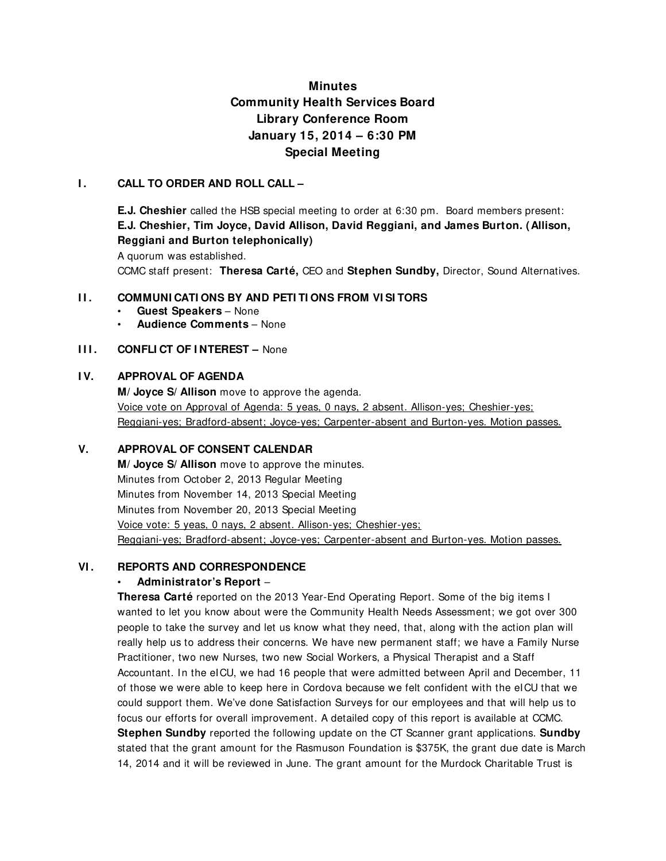# **Minutes Community Health Services Board Library Conference Room January 15, 2014 – 6:30 PM Special Meeting**

### **I . CALL TO ORDER AND ROLL CALL –**

**E.J. Cheshier** called the HSB special meeting to order at 6:30 pm. Board members present: **E.J. Cheshier, Tim Joyce, David Allison, David Reggiani, and James Burton. (Allison, Reggiani and Burton telephonically)** 

A quorum was established.

CCMC staff present: **Theresa Carté,** CEO and **Stephen Sundby,** Director, Sound Alternatives.

### **II. COMMUNICATIONS BY AND PETITIONS FROM VISITORS**

- **Guest Speakers**  None
- **Audience Comments**  None

### **III. CONFLICT OF INTEREST – None**

# **I V. APPROVAL OF AGENDA**

**M/ Joyce S/ Allison** move to approve the agenda. Voice vote on Approval of Agenda: 5 yeas, 0 nays, 2 absent. Allison-yes; Cheshier-yes; Reggiani-yes; Bradford-absent; Joyce-yes; Carpenter-absent and Burton-yes. Motion passes.

# **V. APPROVAL OF CONSENT CALENDAR**

**M/ Joyce S/ Allison** move to approve the minutes. Minutes from October 2, 2013 Regular Meeting Minutes from November 14, 2013 Special Meeting Minutes from November 20, 2013 Special Meeting Voice vote: 5 yeas, 0 nays, 2 absent. Allison-yes; Cheshier-yes; Reggiani-yes; Bradford-absent; Joyce-yes; Carpenter-absent and Burton-yes. Motion passes.

### **VI . REPORTS AND CORRESPONDENCE**

### • **Administrator's Report** –

**Theresa Carté** reported on the 2013 Year-End Operating Report. Some of the big items I wanted to let you know about were the Community Health Needs Assessment; we got over 300 people to take the survey and let us know what they need, that, along with the action plan will really help us to address their concerns. We have new permanent staff; we have a Family Nurse Practitioner, two new Nurses, two new Social Workers, a Physical Therapist and a Staff Accountant. In the eICU, we had 16 people that were admitted between April and December, 11 of those we were able to keep here in Cordova because we felt confident with the eICU that we could support them. We've done Satisfaction Surveys for our employees and that will help us to focus our efforts for overall improvement. A detailed copy of this report is available at CCMC. **Stephen Sundby** reported the following update on the CT Scanner grant applications. **Sundby** stated that the grant amount for the Rasmuson Foundation is \$375K, the grant due date is March 14, 2014 and it will be reviewed in June. The grant amount for the Murdock Charitable Trust is